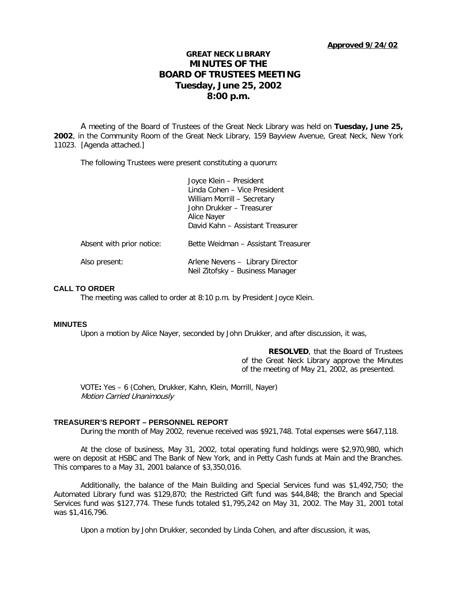# **GREAT NECK LIBRARY MINUTES OF THE BOARD OF TRUSTEES MEETING Tuesday, June 25, 2002 8:00 p.m.**

A meeting of the Board of Trustees of the Great Neck Library was held on **Tuesday, June 25, 2002**, in the Community Room of the Great Neck Library, 159 Bayview Avenue, Great Neck, New York 11023. [Agenda attached.]

The following Trustees were present constituting a quorum:

|                           | Joyce Klein - President<br>Linda Cohen - Vice President<br>William Morrill - Secretary<br>John Drukker - Treasurer<br>Alice Nayer<br>David Kahn - Assistant Treasurer |
|---------------------------|-----------------------------------------------------------------------------------------------------------------------------------------------------------------------|
| Absent with prior notice: | Bette Weidman - Assistant Treasurer                                                                                                                                   |
| Also present:             | Arlene Nevens - Library Director<br>Neil Zitofsky - Business Manager                                                                                                  |

### **CALL TO ORDER**

The meeting was called to order at 8:10 p.m. by President Joyce Klein.

#### **MINUTES**

Upon a motion by Alice Nayer, seconded by John Drukker, and after discussion, it was,

**RESOLVED**, that the Board of Trustees of the Great Neck Library approve the Minutes of the meeting of May 21, 2002, as presented.

VOTE**:** Yes – 6 (Cohen, Drukker, Kahn, Klein, Morrill, Nayer) Motion Carried Unanimously

# **TREASURER'S REPORT – PERSONNEL REPORT**

During the month of May 2002, revenue received was \$921,748. Total expenses were \$647,118.

At the close of business, May 31, 2002, total operating fund holdings were \$2,970,980, which were on deposit at HSBC and The Bank of New York, and in Petty Cash funds at Main and the Branches. This compares to a May 31, 2001 balance of \$3,350,016.

Additionally, the balance of the Main Building and Special Services fund was \$1,492,750; the Automated Library fund was \$129,870; the Restricted Gift fund was \$44,848; the Branch and Special Services fund was \$127,774. These funds totaled \$1,795,242 on May 31, 2002. The May 31, 2001 total was \$1,416,796.

Upon a motion by John Drukker, seconded by Linda Cohen, and after discussion, it was,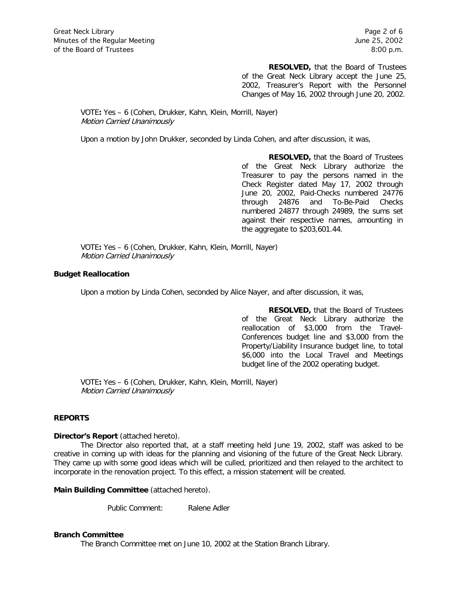**RESOLVED,** that the Board of Trustees of the Great Neck Library accept the June 25, 2002, Treasurer's Report with the Personnel Changes of May 16, 2002 through June 20, 2002.

### VOTE**:** Yes – 6 (Cohen, Drukker, Kahn, Klein, Morrill, Nayer) Motion Carried Unanimously

Upon a motion by John Drukker, seconded by Linda Cohen, and after discussion, it was,

**RESOLVED,** that the Board of Trustees of the Great Neck Library authorize the Treasurer to pay the persons named in the Check Register dated May 17, 2002 through June 20, 2002, Paid-Checks numbered 24776 through 24876 and To-Be-Paid Checks numbered 24877 through 24989, the sums set against their respective names, amounting in the aggregate to \$203,601.44.

VOTE**:** Yes – 6 (Cohen, Drukker, Kahn, Klein, Morrill, Nayer) Motion Carried Unanimously

# **Budget Reallocation**

Upon a motion by Linda Cohen, seconded by Alice Nayer, and after discussion, it was,

**RESOLVED,** that the Board of Trustees of the Great Neck Library authorize the reallocation of \$3,000 from the Travel-Conferences budget line and \$3,000 from the Property/Liability Insurance budget line, to total \$6,000 into the Local Travel and Meetings budget line of the 2002 operating budget.

VOTE**:** Yes – 6 (Cohen, Drukker, Kahn, Klein, Morrill, Nayer) Motion Carried Unanimously

# **REPORTS**

### **Director's Report** (attached hereto).

The Director also reported that, at a staff meeting held June 19, 2002, staff was asked to be creative in coming up with ideas for the planning and visioning of the future of the Great Neck Library. They came up with some good ideas which will be culled, prioritized and then relayed to the architect to incorporate in the renovation project. To this effect, a mission statement will be created.

**Main Building Committee** (attached hereto).

Public Comment: Ralene Adler

#### **Branch Committee**

The Branch Committee met on June 10, 2002 at the Station Branch Library.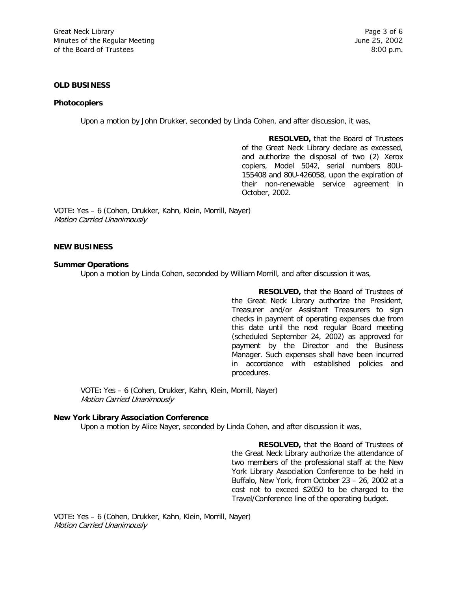### **OLD BUSINESS**

#### **Photocopiers**

Upon a motion by John Drukker, seconded by Linda Cohen, and after discussion, it was,

**RESOLVED,** that the Board of Trustees of the Great Neck Library declare as excessed, and authorize the disposal of two (2) Xerox copiers, Model 5042, serial numbers 80U-155408 and 80U-426058, upon the expiration of their non-renewable service agreement in October, 2002.

VOTE**:** Yes – 6 (Cohen, Drukker, Kahn, Klein, Morrill, Nayer) Motion Carried Unanimously

# **NEW BUSINESS**

#### **Summer Operations**

Upon a motion by Linda Cohen, seconded by William Morrill, and after discussion it was,

**RESOLVED,** that the Board of Trustees of the Great Neck Library authorize the President, Treasurer and/or Assistant Treasurers to sign checks in payment of operating expenses due from this date until the next regular Board meeting (scheduled September 24, 2002) as approved for payment by the Director and the Business Manager. Such expenses shall have been incurred in accordance with established policies and procedures.

VOTE**:** Yes – 6 (Cohen, Drukker, Kahn, Klein, Morrill, Nayer) Motion Carried Unanimously

# **New York Library Association Conference**

Upon a motion by Alice Nayer, seconded by Linda Cohen, and after discussion it was,

**RESOLVED,** that the Board of Trustees of the Great Neck Library authorize the attendance of two members of the professional staff at the New York Library Association Conference to be held in Buffalo, New York, from October 23 – 26, 2002 at a cost not to exceed \$2050 to be charged to the Travel/Conference line of the operating budget.

VOTE**:** Yes – 6 (Cohen, Drukker, Kahn, Klein, Morrill, Nayer) Motion Carried Unanimously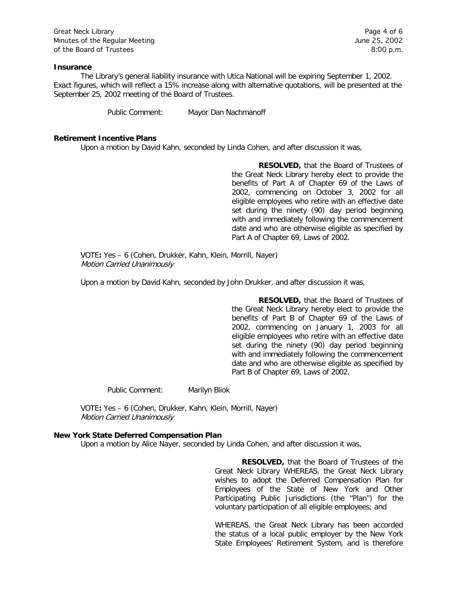Great Neck Library **Page 4 of 6** Minutes of the Regular Meeting The Contract of the Regular Meeting June 25, 2002 of the Board of Trustees 8:00 p.m.

#### **Insurance**

The Library's general liability insurance with Utica National will be expiring September 1, 2002. Exact figures, which will reflect a 15% increase along with alternative quotations, will be presented at the September 25, 2002 meeting of the Board of Trustees.

Public Comment: Mayor Dan Nachmanoff

#### **Retirement Incentive Plans**

Upon a motion by David Kahn, seconded by Linda Cohen, and after discussion it was,

**RESOLVED,** that the Board of Trustees of the Great Neck Library hereby elect to provide the benefits of Part A of Chapter 69 of the Laws of 2002, commencing on October 3, 2002 for all eligible employees who retire with an effective date set during the ninety (90) day period beginning with and immediately following the commencement date and who are otherwise eligible as specified by Part A of Chapter 69, Laws of 2002.

VOTE**:** Yes – 6 (Cohen, Drukker, Kahn, Klein, Morrill, Nayer) Motion Carried Unanimously

Upon a motion by David Kahn, seconded by John Drukker, and after discussion it was,

**RESOLVED,** that the Board of Trustees of the Great Neck Library hereby elect to provide the benefits of Part B of Chapter 69 of the Laws of 2002, commencing on January 1, 2003 for all eligible employees who retire with an effective date set during the ninety (90) day period beginning with and immediately following the commencement date and who are otherwise eligible as specified by Part B of Chapter 69, Laws of 2002.

Public Comment: Marilyn Bliok

VOTE**:** Yes – 6 (Cohen, Drukker, Kahn, Klein, Morrill, Nayer) Motion Carried Unanimously

### **New York State Deferred Compensation Plan**

Upon a motion by Alice Nayer, seconded by Linda Cohen, and after discussion it was,

**RESOLVED,** that the Board of Trustees of the Great Neck Library WHEREAS, the Great Neck Library wishes to adopt the Deferred Compensation Plan for Employees of the State of New York and Other Participating Public Jurisdictions (the "Plan") for the voluntary participation of all eligible employees; and

WHEREAS, the Great Neck Library has been accorded the status of a local public employer by the New York State Employees' Retirement System, and is therefore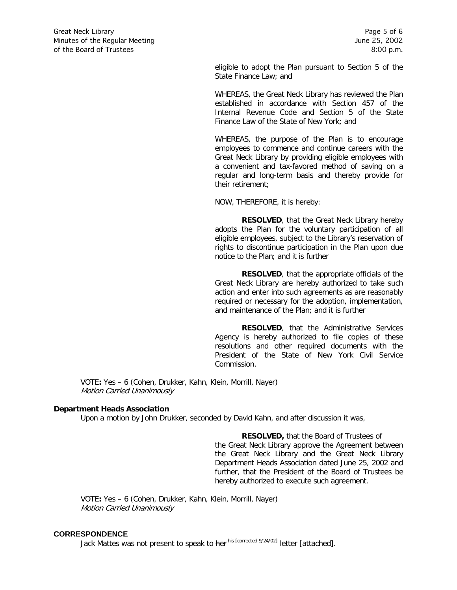eligible to adopt the Plan pursuant to Section 5 of the State Finance Law; and

WHEREAS, the Great Neck Library has reviewed the Plan established in accordance with Section 457 of the Internal Revenue Code and Section 5 of the State Finance Law of the State of New York; and

WHEREAS, the purpose of the Plan is to encourage employees to commence and continue careers with the Great Neck Library by providing eligible employees with a convenient and tax-favored method of saving on a regular and long-term basis and thereby provide for their retirement;

NOW, THEREFORE, it is hereby:

**RESOLVED**, that the Great Neck Library hereby adopts the Plan for the voluntary participation of all eligible employees, subject to the Library's reservation of rights to discontinue participation in the Plan upon due notice to the Plan; and it is further

**RESOLVED**, that the appropriate officials of the Great Neck Library are hereby authorized to take such action and enter into such agreements as are reasonably required or necessary for the adoption, implementation, and maintenance of the Plan; and it is further

**RESOLVED**, that the Administrative Services Agency is hereby authorized to file copies of these resolutions and other required documents with the President of the State of New York Civil Service Commission.

VOTE**:** Yes – 6 (Cohen, Drukker, Kahn, Klein, Morrill, Nayer) Motion Carried Unanimously

### **Department Heads Association**

Upon a motion by John Drukker, seconded by David Kahn, and after discussion it was,

**RESOLVED,** that the Board of Trustees of the Great Neck Library approve the Agreement between the Great Neck Library and the Great Neck Library Department Heads Association dated June 25, 2002 and further, that the President of the Board of Trustees be hereby authorized to execute such agreement.

VOTE**:** Yes – 6 (Cohen, Drukker, Kahn, Klein, Morrill, Nayer) Motion Carried Unanimously

#### **CORRESPONDENCE**

Jack Mattes was not present to speak to her his [corrected 9/24/02] letter [attached].